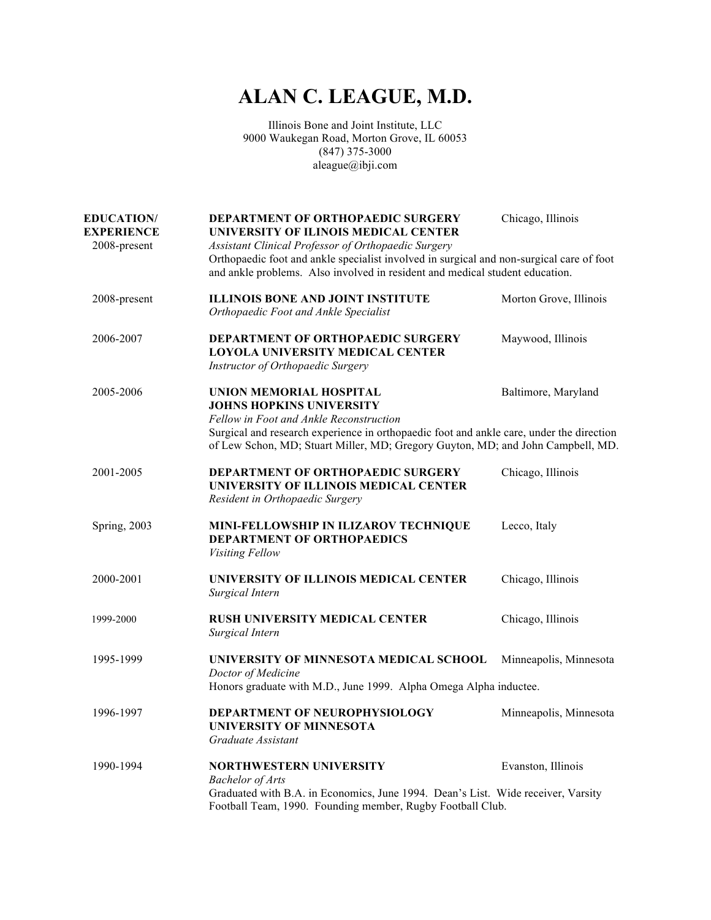## **ALAN C. LEAGUE, M.D.**

Illinois Bone and Joint Institute, LLC 9000 Waukegan Road, Morton Grove, IL 60053 (847) 375-3000 aleague@ibji.com

| <b>EDUCATION/</b><br><b>EXPERIENCE</b><br>2008-present | DEPARTMENT OF ORTHOPAEDIC SURGERY<br>UNIVERSITY OF ILINOIS MEDICAL CENTER<br>Assistant Clinical Professor of Orthopaedic Surgery<br>Orthopaedic foot and ankle specialist involved in surgical and non-surgical care of foot<br>and ankle problems. Also involved in resident and medical student education. | Chicago, Illinois      |
|--------------------------------------------------------|--------------------------------------------------------------------------------------------------------------------------------------------------------------------------------------------------------------------------------------------------------------------------------------------------------------|------------------------|
| 2008-present                                           | <b>ILLINOIS BONE AND JOINT INSTITUTE</b><br>Orthopaedic Foot and Ankle Specialist                                                                                                                                                                                                                            | Morton Grove, Illinois |
| 2006-2007                                              | DEPARTMENT OF ORTHOPAEDIC SURGERY<br><b>LOYOLA UNIVERSITY MEDICAL CENTER</b><br>Instructor of Orthopaedic Surgery                                                                                                                                                                                            | Maywood, Illinois      |
| 2005-2006                                              | UNION MEMORIAL HOSPITAL<br><b>JOHNS HOPKINS UNIVERSITY</b><br>Fellow in Foot and Ankle Reconstruction<br>Surgical and research experience in orthopaedic foot and ankle care, under the direction<br>of Lew Schon, MD; Stuart Miller, MD; Gregory Guyton, MD; and John Campbell, MD.                         | Baltimore, Maryland    |
| 2001-2005                                              | DEPARTMENT OF ORTHOPAEDIC SURGERY<br>UNIVERSITY OF ILLINOIS MEDICAL CENTER<br>Resident in Orthopaedic Surgery                                                                                                                                                                                                | Chicago, Illinois      |
| <b>Spring</b> , 2003                                   | MINI-FELLOWSHIP IN ILIZAROV TECHNIQUE<br>DEPARTMENT OF ORTHOPAEDICS<br><b>Visiting Fellow</b>                                                                                                                                                                                                                | Lecco, Italy           |
| 2000-2001                                              | UNIVERSITY OF ILLINOIS MEDICAL CENTER<br>Surgical Intern                                                                                                                                                                                                                                                     | Chicago, Illinois      |
| 1999-2000                                              | <b>RUSH UNIVERSITY MEDICAL CENTER</b><br>Surgical Intern                                                                                                                                                                                                                                                     | Chicago, Illinois      |
| 1995-1999                                              | UNIVERSITY OF MINNESOTA MEDICAL SCHOOL<br>Doctor of Medicine<br>Honors graduate with M.D., June 1999. Alpha Omega Alpha inductee.                                                                                                                                                                            | Minneapolis, Minnesota |
| 1996-1997                                              | DEPARTMENT OF NEUROPHYSIOLOGY<br><b>UNIVERSITY OF MINNESOTA</b><br>Graduate Assistant                                                                                                                                                                                                                        | Minneapolis, Minnesota |
| 1990-1994                                              | <b>NORTHWESTERN UNIVERSITY</b><br><b>Bachelor</b> of Arts<br>Graduated with B.A. in Economics, June 1994. Dean's List. Wide receiver, Varsity<br>Football Team, 1990. Founding member, Rugby Football Club.                                                                                                  | Evanston, Illinois     |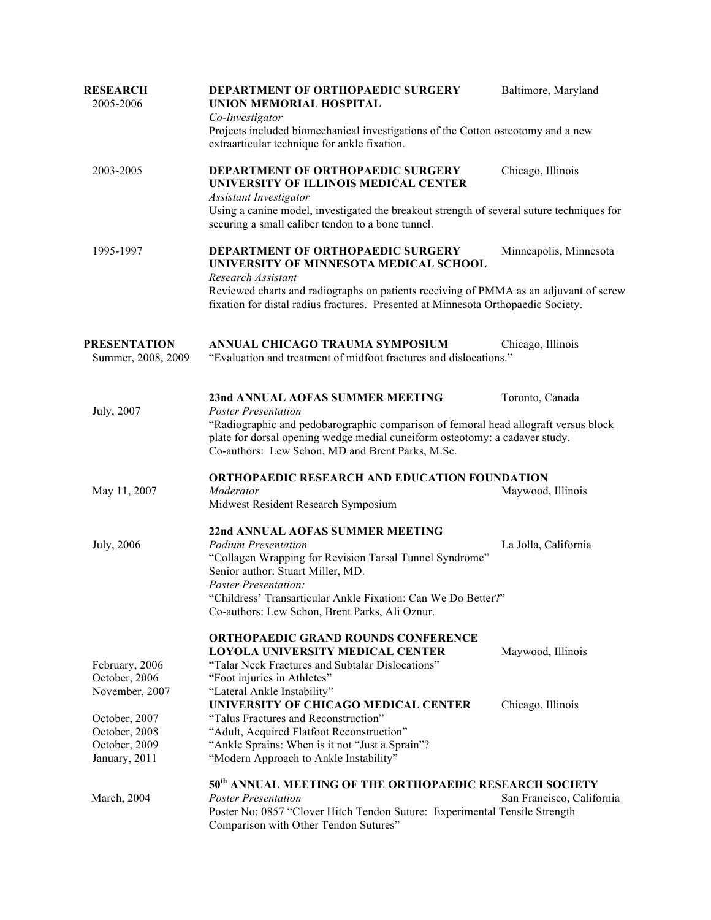| <b>RESEARCH</b><br>2005-2006                                     | DEPARTMENT OF ORTHOPAEDIC SURGERY<br>UNION MEMORIAL HOSPITAL<br>Co-Investigator<br>Projects included biomechanical investigations of the Cotton osteotomy and a new                                                      | Baltimore, Maryland       |  |
|------------------------------------------------------------------|--------------------------------------------------------------------------------------------------------------------------------------------------------------------------------------------------------------------------|---------------------------|--|
|                                                                  | extraarticular technique for ankle fixation.                                                                                                                                                                             |                           |  |
| 2003-2005                                                        | DEPARTMENT OF ORTHOPAEDIC SURGERY<br>UNIVERSITY OF ILLINOIS MEDICAL CENTER                                                                                                                                               | Chicago, Illinois         |  |
|                                                                  | <b>Assistant Investigator</b><br>Using a canine model, investigated the breakout strength of several suture techniques for<br>securing a small caliber tendon to a bone tunnel.                                          |                           |  |
| 1995-1997                                                        | DEPARTMENT OF ORTHOPAEDIC SURGERY<br>UNIVERSITY OF MINNESOTA MEDICAL SCHOOL<br>Research Assistant                                                                                                                        | Minneapolis, Minnesota    |  |
|                                                                  | Reviewed charts and radiographs on patients receiving of PMMA as an adjuvant of screw<br>fixation for distal radius fractures. Presented at Minnesota Orthopaedic Society.                                               |                           |  |
| <b>PRESENTATION</b><br>Summer, 2008, 2009                        | ANNUAL CHICAGO TRAUMA SYMPOSIUM<br>"Evaluation and treatment of midfoot fractures and dislocations."                                                                                                                     | Chicago, Illinois         |  |
| July, 2007                                                       | 23nd ANNUAL AOFAS SUMMER MEETING<br><b>Poster Presentation</b>                                                                                                                                                           | Toronto, Canada           |  |
|                                                                  | "Radiographic and pedobarographic comparison of femoral head allograft versus block<br>plate for dorsal opening wedge medial cuneiform osteotomy: a cadaver study.<br>Co-authors: Lew Schon, MD and Brent Parks, M.Sc.   |                           |  |
|                                                                  | ORTHOPAEDIC RESEARCH AND EDUCATION FOUNDATION                                                                                                                                                                            |                           |  |
| May 11, 2007                                                     | Moderator<br>Midwest Resident Research Symposium                                                                                                                                                                         | Maywood, Illinois         |  |
| July, 2006                                                       | 22nd ANNUAL AOFAS SUMMER MEETING<br><b>Podium Presentation</b><br>"Collagen Wrapping for Revision Tarsal Tunnel Syndrome"<br>Senior author: Stuart Miller, MD.                                                           | La Jolla, California      |  |
|                                                                  | <b>Poster Presentation:</b><br>"Childress' Transarticular Ankle Fixation: Can We Do Better?"<br>Co-authors: Lew Schon, Brent Parks, Ali Oznur.                                                                           |                           |  |
| February, 2006                                                   | <b>ORTHOPAEDIC GRAND ROUNDS CONFERENCE</b><br><b>LOYOLA UNIVERSITY MEDICAL CENTER</b><br>"Talar Neck Fractures and Subtalar Dislocations"                                                                                | Maywood, Illinois         |  |
| October, 2006<br>November, 2007                                  | "Foot injuries in Athletes"<br>"Lateral Ankle Instability"<br>UNIVERSITY OF CHICAGO MEDICAL CENTER                                                                                                                       | Chicago, Illinois         |  |
| October, 2007<br>October, 2008<br>October, 2009<br>January, 2011 | "Talus Fractures and Reconstruction"<br>"Adult, Acquired Flatfoot Reconstruction"<br>"Ankle Sprains: When is it not "Just a Sprain"?<br>"Modern Approach to Ankle Instability"                                           |                           |  |
| March, 2004                                                      | 50 <sup>th</sup> ANNUAL MEETING OF THE ORTHOPAEDIC RESEARCH SOCIETY<br><b>Poster Presentation</b><br>Poster No: 0857 "Clover Hitch Tendon Suture: Experimental Tensile Strength<br>Comparison with Other Tendon Sutures" | San Francisco, California |  |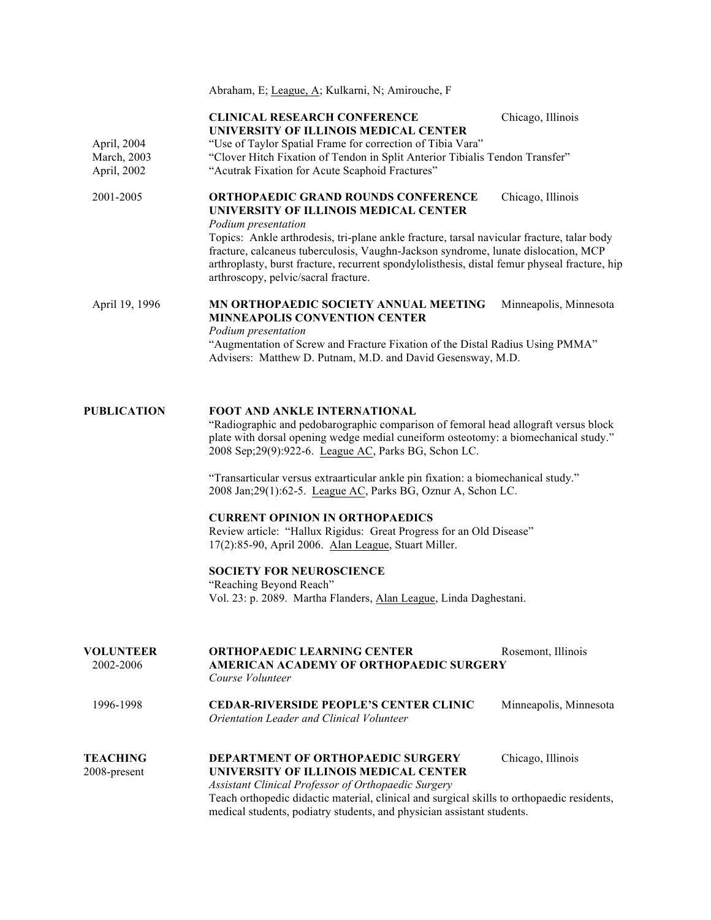Abraham, E; League, A; Kulkarni, N; Amirouche, F

|                                           | <b>CLINICAL RESEARCH CONFERENCE</b><br>Chicago, Illinois<br>UNIVERSITY OF ILLINOIS MEDICAL CENTER                                                                                                                                                                                                                                                                                                                                                            |  |  |
|-------------------------------------------|--------------------------------------------------------------------------------------------------------------------------------------------------------------------------------------------------------------------------------------------------------------------------------------------------------------------------------------------------------------------------------------------------------------------------------------------------------------|--|--|
| April, 2004<br>March, 2003<br>April, 2002 | "Use of Taylor Spatial Frame for correction of Tibia Vara"<br>"Clover Hitch Fixation of Tendon in Split Anterior Tibialis Tendon Transfer"<br>"Acutrak Fixation for Acute Scaphoid Fractures"                                                                                                                                                                                                                                                                |  |  |
| 2001-2005                                 | <b>ORTHOPAEDIC GRAND ROUNDS CONFERENCE</b><br>Chicago, Illinois<br>UNIVERSITY OF ILLINOIS MEDICAL CENTER<br>Podium presentation<br>Topics: Ankle arthrodesis, tri-plane ankle fracture, tarsal navicular fracture, talar body<br>fracture, calcaneus tuberculosis, Vaughn-Jackson syndrome, lunate dislocation, MCP<br>arthroplasty, burst fracture, recurrent spondylolisthesis, distal femur physeal fracture, hip<br>arthroscopy, pelvic/sacral fracture. |  |  |
| April 19, 1996                            | MN ORTHOPAEDIC SOCIETY ANNUAL MEETING<br>Minneapolis, Minnesota<br><b>MINNEAPOLIS CONVENTION CENTER</b><br>Podium presentation<br>"Augmentation of Screw and Fracture Fixation of the Distal Radius Using PMMA"<br>Advisers: Matthew D. Putnam, M.D. and David Gesensway, M.D.                                                                                                                                                                               |  |  |
| <b>PUBLICATION</b>                        | <b>FOOT AND ANKLE INTERNATIONAL</b><br>"Radiographic and pedobarographic comparison of femoral head allograft versus block<br>plate with dorsal opening wedge medial cuneiform osteotomy: a biomechanical study."<br>2008 Sep; 29(9): 922-6. League AC, Parks BG, Schon LC.<br>"Transarticular versus extraarticular ankle pin fixation: a biomechanical study."<br>2008 Jan;29(1):62-5. League AC, Parks BG, Oznur A, Schon LC.                             |  |  |
|                                           | <b>CURRENT OPINION IN ORTHOPAEDICS</b><br>Review article: "Hallux Rigidus: Great Progress for an Old Disease"<br>17(2):85-90, April 2006. Alan League, Stuart Miller.                                                                                                                                                                                                                                                                                        |  |  |
|                                           | <b>SOCIETY FOR NEUROSCIENCE</b><br>"Reaching Beyond Reach"<br>Vol. 23: p. 2089. Martha Flanders, Alan League, Linda Daghestani.                                                                                                                                                                                                                                                                                                                              |  |  |
|                                           |                                                                                                                                                                                                                                                                                                                                                                                                                                                              |  |  |

| <b>VOLUNTEER</b><br>2002-2006   | <b>ORTHOPAEDIC LEARNING CENTER</b><br>AMERICAN ACADEMY OF ORTHOPAEDIC SURGERY<br>Course Volunteer                                                                    | Rosemont, Illinois     |
|---------------------------------|----------------------------------------------------------------------------------------------------------------------------------------------------------------------|------------------------|
| 1996-1998                       | <b>CEDAR-RIVERSIDE PEOPLE'S CENTER CLINIC</b><br>Orientation Leader and Clinical Volunteer                                                                           | Minneapolis, Minnesota |
| <b>TEACHING</b><br>2008-present | <b>DEPARTMENT OF ORTHOPAEDIC SURGERY</b><br>UNIVERSITY OF ILLINOIS MEDICAL CENTER<br>Assistant Clinical Professor of Orthopaedic Surgery                             | Chicago, Illinois      |
|                                 | Teach orthopedic didactic material, clinical and surgical skills to orthopaedic residents,<br>medical students, podiatry students, and physician assistant students. |                        |